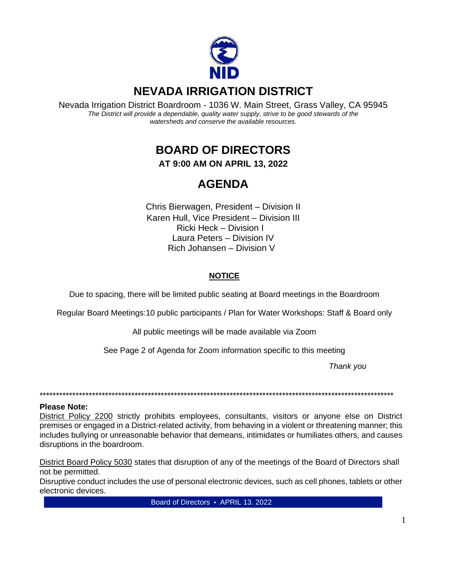

## **NEVADA IRRIGATION DISTRICT**

Nevada Irrigation District Boardroom - 1036 W. Main Street, Grass Valley, CA 95945 The District will provide a dependable, quality water supply, strive to be good stewards of the watersheds and conserve the available resources.

# **BOARD OF DIRECTORS**

AT 9:00 AM ON APRIL 13, 2022

## **AGENDA**

Chris Bierwagen, President - Division II Karen Hull, Vice President - Division III Ricki Heck - Division I Laura Peters - Division IV Rich Johansen - Division V

## **NOTICE**

Due to spacing, there will be limited public seating at Board meetings in the Boardroom

Regular Board Meetings:10 public participants / Plan for Water Workshops: Staff & Board only

All public meetings will be made available via Zoom

See Page 2 of Agenda for Zoom information specific to this meeting

Thank you

#### **Please Note:**

District Policy 2200 strictly prohibits employees, consultants, visitors or anyone else on District premises or engaged in a District-related activity, from behaving in a violent or threatening manner; this includes bullying or unreasonable behavior that demeans, intimidates or humiliates others, and causes disruptions in the boardroom.

District Board Policy 5030 states that disruption of any of the meetings of the Board of Directors shall not be permitted.

Disruptive conduct includes the use of personal electronic devices, such as cell phones, tablets or other electronic devices.

Board of Directors • APRIL 13. 2022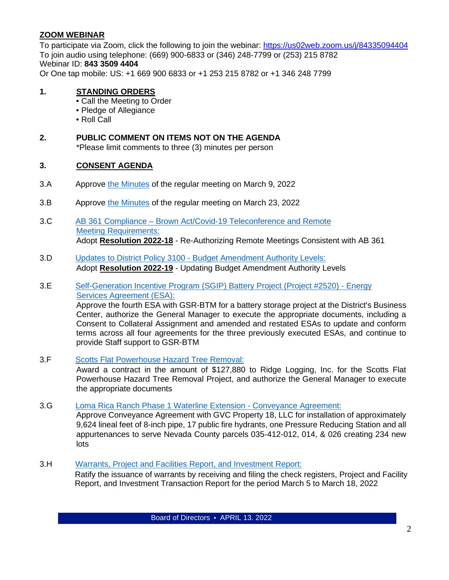### **ZOOM WEBINAR**

To participate via Zoom, click the following to join the webinar: <https://us02web.zoom.us/j/84335094404> To join audio using telephone: (669) 900-6833 or (346) 248-7799 or (253) 215 8782 Webinar ID: **843 3509 4404**

Or One tap mobile: US: +1 669 900 6833 or +1 253 215 8782 or +1 346 248 7799

### **1. STANDING ORDERS**

- Call the Meeting to Order
- Pledge of Allegiance
- Roll Call
- **2. PUBLIC COMMENT ON ITEMS NOT ON THE AGENDA** \*Please limit comments to three (3) minutes per person

#### **3. CONSENT AGENDA**

- 3.A Approve [the Minutes](https://www.nidwater.com/files/8b9e0d159/04132022_BOD_3A.pdf) of the regular meeting on March 9, 2022
- 3.B Approve [the Minutes](https://www.nidwater.com/files/4d34c9106/04132022_BOD_3B.pdf) of the regular meeting on March 23, 2022
- 3.C AB 361 Compliance [Brown Act/Covid-19 Teleconference and Remote](https://www.nidwater.com/files/1107a2969/04132022_BOD_3C.pdf)  [Meeting Requirements:](https://www.nidwater.com/files/1107a2969/04132022_BOD_3C.pdf) Adopt **Resolution 2022-18** - Re-Authorizing Remote Meetings Consistent with AB 361
- 3.D Updates to District Policy 3100 [Budget Amendment Authority Levels:](https://www.nidwater.com/files/9a715e4bb/04132022_BOD_3D.pdf) Adopt **Resolution 2022-19** - Updating Budget Amendment Authority Levels
- 3.E [Self-Generation Incentive Program \(SGIP\) Battery Project \(Project #2520\) -](https://www.nidwater.com/files/84e88722c/04132022_BOD_3E.pdf) Energy [Services Agreement \(ESA\):](https://www.nidwater.com/files/84e88722c/04132022_BOD_3E.pdf)

Approve the fourth ESA with GSR-BTM for a battery storage project at the District's Business Center, authorize the General Manager to execute the appropriate documents, including a Consent to Collateral Assignment and amended and restated ESAs to update and conform terms across all four agreements for the three previously executed ESAs, and continue to provide Staff support to GSR-BTM

3.F [Scotts Flat Powerhouse Hazard Tree Removal:](https://www.nidwater.com/files/8e32a85f3/04132022_BOD_3F.pdf)

Award a contract in the amount of \$127,880 to Ridge Logging, Inc. for the Scotts Flat Powerhouse Hazard Tree Removal Project, and authorize the General Manager to execute the appropriate documents

3.G [Loma Rica Ranch Phase 1 Waterline Extension -](https://www.nidwater.com/files/3807bb490/04132022_BOD_3G.pdf) Conveyance Agreement:

Approve Conveyance Agreement with GVC Property 18, LLC for installation of approximately 9,624 lineal feet of 8-inch pipe, 17 public fire hydrants, one Pressure Reducing Station and all appurtenances to serve Nevada County parcels 035-412-012, 014, & 026 creating 234 new lots

3.H [Warrants, Project and Facilities Report, and Investment Report:](https://www.nidwater.com/files/d2d4cb5fb/04132022_BOD_3H.pdf)

 Ratify the issuance of warrants by receiving and filing the check registers, Project and Facility Report, and Investment Transaction Report for the period March 5 to March 18, 2022

Board of Directors • APRIL 13. 2022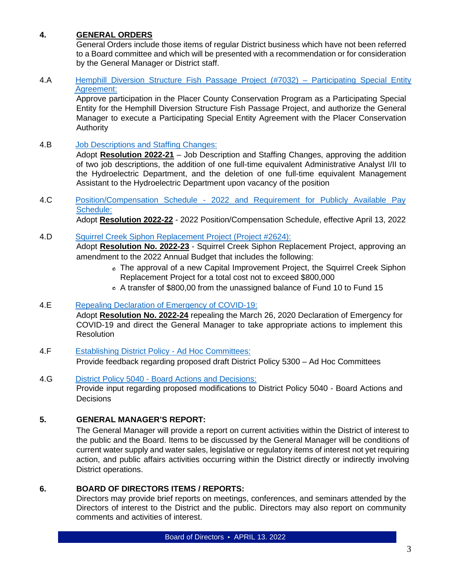## **4. GENERAL ORDERS**

General Orders include those items of regular District business which have not been referred to a Board committee and which will be presented with a recommendation or for consideration by the General Manager or District staff.

4.A [Hemphill Diversion Structure Fish Passage Project \(#7032\) – Participating Special Entity](https://www.nidwater.com/files/9273bfd2f/04132022_BOD_4A.pdf) [Agreement:](https://www.nidwater.com/files/9273bfd2f/04132022_BOD_4A.pdf)

Approve participation in the Placer County Conservation Program as a Participating Special Entity for the Hemphill Diversion Structure Fish Passage Project, and authorize the General Manager to execute a Participating Special Entity Agreement with the Placer Conservation Authority

4.B [Job Descriptions and Staffing Changes:](https://www.nidwater.com/files/7a722e3f4/04132022_BOD_4B.pdf)

Adopt **Resolution 2022-21** – Job Description and Staffing Changes, approving the addition of two job descriptions, the addition of one full-time equivalent Administrative Analyst I/II to the Hydroelectric Department, and the deletion of one full-time equivalent Management Assistant to the Hydroelectric Department upon vacancy of the position

4.C [Position/Compensation Schedule - 2022 and Requirement for Publicly Available Pay](https://www.nidwater.com/files/737dc31c1/04132022_BOD_4C.pdf)  [Schedule:](https://www.nidwater.com/files/737dc31c1/04132022_BOD_4C.pdf)

Adopt **Resolution 2022-22** - 2022 Position/Compensation Schedule, effective April 13, 2022

## 4.D [Squirrel Creek Siphon Replacement Project \(Project #2624\):](https://www.nidwater.com/files/85feaba4c/04132022_BOD_4D.pdf)

Adopt **Resolution No. 2022-23** - Squirrel Creek Siphon Replacement Project, approving an amendment to the 2022 Annual Budget that includes the following:

- The approval of a new Capital Improvement Project, the Squirrel Creek Siphon Replacement Project for a total cost not to exceed \$800,000
- A transfer of \$800,00 from the unassigned balance of Fund 10 to Fund 15

### 4.E [Repealing Declaration of Emergency of COVID-19:](https://www.nidwater.com/files/8a132de32/04132022_BOD_4E.pdf) Adopt **Resolution No. 2022-24** repealing the March 26, 2020 Declaration of Emergency for COVID-19 and direct the General Manager to take appropriate actions to implement this **Resolution**

- 4.F [Establishing District Policy Ad Hoc Committees:](https://www.nidwater.com/files/cf18ba635/04132022_BOD_4F.pdf) Provide feedback regarding proposed draft District Policy 5300 – Ad Hoc Committees
- 4.G [District Policy 5040 Board Actions and Decisions:](https://www.nidwater.com/files/9fe5b387b/04132022_BOD_4G.pdf) Provide input regarding proposed modifications to District Policy 5040 - Board Actions and **Decisions**

## **5. GENERAL MANAGER'S REPORT:**

The General Manager will provide a report on current activities within the District of interest to the public and the Board. Items to be discussed by the General Manager will be conditions of current water supply and water sales, legislative or regulatory items of interest not yet requiring action, and public affairs activities occurring within the District directly or indirectly involving District operations.

#### **6. BOARD OF DIRECTORS ITEMS / REPORTS:**

Directors may provide brief reports on meetings, conferences, and seminars attended by the Directors of interest to the District and the public. Directors may also report on community comments and activities of interest.